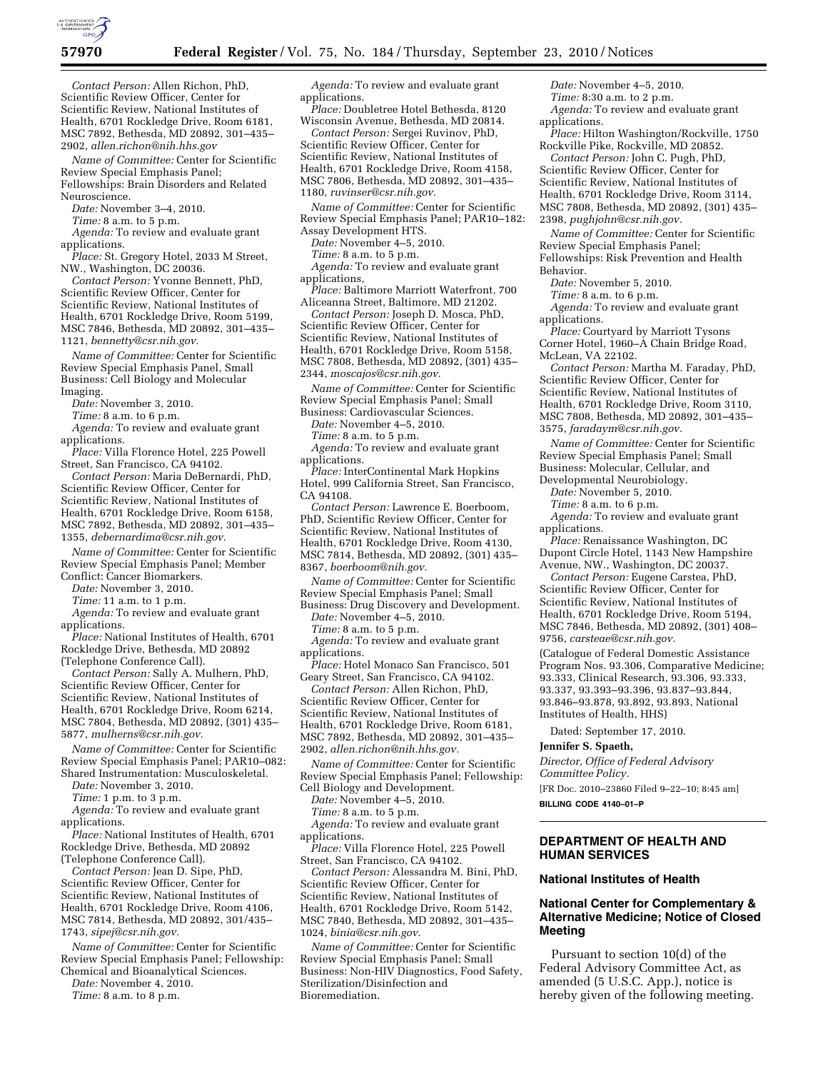

*Contact Person:* Allen Richon, PhD, Scientific Review Officer, Center for Scientific Review, National Institutes of Health, 6701 Rockledge Drive, Room 6181, MSC 7892, Bethesda, MD 20892, 301–435– 2902, *[allen.richon@nih.hhs.gov](mailto:allen.richon@nih.hhs.gov)* 

*Name of Committee:* Center for Scientific Review Special Emphasis Panel; Fellowships: Brain Disorders and Related Neuroscience.

*Date:* November 3–4, 2010.

*Time:* 8 a.m. to 5 p.m.

*Agenda:* To review and evaluate grant applications.

*Place:* St. Gregory Hotel, 2033 M Street, NW., Washington, DC 20036.

*Contact Person:* Yvonne Bennett, PhD, Scientific Review Officer, Center for Scientific Review, National Institutes of Health, 6701 Rockledge Drive, Room 5199, MSC 7846, Bethesda, MD 20892, 301–435– 1121, *[bennetty@csr.nih.gov.](mailto:bennetty@csr.nih.gov)* 

*Name of Committee:* Center for Scientific Review Special Emphasis Panel, Small Business: Cell Biology and Molecular

Imaging.

*Date:* November 3, 2010.

*Time:* 8 a.m. to 6 p.m.

*Agenda:* To review and evaluate grant applications.

*Place:* Villa Florence Hotel, 225 Powell Street, San Francisco, CA 94102.

*Contact Person:* Maria DeBernardi, PhD, Scientific Review Officer, Center for Scientific Review, National Institutes of Health, 6701 Rockledge Drive, Room 6158, MSC 7892, Bethesda, MD 20892, 301–435– 1355, *[debernardima@csr.nih.gov.](mailto:debernardima@csr.nih.gov)* 

*Name of Committee:* Center for Scientific Review Special Emphasis Panel; Member Conflict: Cancer Biomarkers.

*Date:* November 3, 2010.

*Time:* 11 a.m. to 1 p.m.

*Agenda:* To review and evaluate grant applications.

*Place:* National Institutes of Health, 6701 Rockledge Drive, Bethesda, MD 20892 (Telephone Conference Call).

*Contact Person:* Sally A. Mulhern, PhD, Scientific Review Officer, Center for Scientific Review, National Institutes of Health, 6701 Rockledge Drive, Room 6214, MSC 7804, Bethesda, MD 20892, (301) 435– 5877, *[mulherns@csr.nih.gov.](mailto:mulherns@csr.nih.gov)* 

*Name of Committee:* Center for Scientific Review Special Emphasis Panel; PAR10–082: Shared Instrumentation: Musculoskeletal.

*Date:* November 3, 2010.

*Time:* 1 p.m. to 3 p.m.

*Agenda:* To review and evaluate grant applications.

*Place:* National Institutes of Health, 6701 Rockledge Drive, Bethesda, MD 20892 (Telephone Conference Call).

*Contact Person:* Jean D. Sipe, PhD, Scientific Review Officer, Center for Scientific Review, National Institutes of Health, 6701 Rockledge Drive, Room 4106, MSC 7814, Bethesda, MD 20892, 301/435– 1743, *[sipej@csr.nih.gov.](mailto:sipej@csr.nih.gov)* 

*Name of Committee:* Center for Scientific Review Special Emphasis Panel; Fellowship: Chemical and Bioanalytical Sciences.

*Date:* November 4, 2010.

*Time:* 8 a.m. to 8 p.m.

*Agenda:* To review and evaluate grant applications.

*Place:* Doubletree Hotel Bethesda, 8120 Wisconsin Avenue, Bethesda, MD 20814.

*Contact Person:* Sergei Ruvinov, PhD, Scientific Review Officer, Center for Scientific Review, National Institutes of Health, 6701 Rockledge Drive, Room 4158, MSC 7806, Bethesda, MD 20892, 301–435– 1180, *[ruvinser@csr.nih.gov.](mailto:ruvinser@csr.nih.gov)* 

*Name of Committee:* Center for Scientific Review Special Emphasis Panel; PAR10–182: Assay Development HTS.

*Date:* November 4–5, 2010.

*Time:* 8 a.m. to 5 p.m.

*Agenda:* To review and evaluate grant applications,

*Place:* Baltimore Marriott Waterfront, 700 Aliceanna Street, Baltimore, MD 21202.

*Contact Person:* Joseph D. Mosca, PhD, Scientific Review Officer, Center for Scientific Review, National Institutes of Health, 6701 Rockledge Drive, Room 5158, MSC 7808, Bethesda, MD 20892, (301) 435– 2344, *[moscajos@csr.nih.gov.](mailto:moscajos@csr.nih.gov)* 

*Name of Committee:* Center for Scientific Review Special Emphasis Panel; Small Business: Cardiovascular Sciences.

*Date:* November 4–5, 2010.

*Time:* 8 a.m. to 5 p.m.

*Agenda:* To review and evaluate grant applications.

*Place:* InterContinental Mark Hopkins Hotel, 999 California Street, San Francisco, CA 94108.

*Contact Person:* Lawrence E. Boerboom, PhD, Scientific Review Officer, Center for Scientific Review, National Institutes of Health, 6701 Rockledge Drive, Room 4130, MSC 7814, Bethesda, MD 20892, (301) 435– 8367, *[boerboom@nih.gov.](mailto:boerboom@nih.gov)* 

*Name of Committee:* Center for Scientific Review Special Emphasis Panel; Small

Business: Drug Discovery and Development. *Date:* November 4–5, 2010.

*Time:* 8 a.m. to 5 p.m.

*Agenda:* To review and evaluate grant applications.

*Place:* Hotel Monaco San Francisco, 501 Geary Street, San Francisco, CA 94102.

*Contact Person:* Allen Richon, PhD, Scientific Review Officer, Center for Scientific Review, National Institutes of Health, 6701 Rockledge Drive, Room 6181, MSC 7892, Bethesda, MD 20892, 301–435– 2902, *[allen.richon@nih.hhs.gov.](mailto:allen.richon@nih.hhs.gov)* 

*Name of Committee:* Center for Scientific Review Special Emphasis Panel; Fellowship: Cell Biology and Development.

*Date:* November 4–5, 2010.

*Time:* 8 a.m. to 5 p.m.

*Agenda:* To review and evaluate grant applications.

*Place:* Villa Florence Hotel, 225 Powell Street, San Francisco, CA 94102.

*Contact Person:* Alessandra M. Bini, PhD, Scientific Review Officer, Center for Scientific Review, National Institutes of Health, 6701 Rockledge Drive, Room 5142, MSC 7840, Bethesda, MD 20892, 301–435– 1024, *[binia@csr.nih.gov.](mailto:binia@csr.nih.gov)* 

*Name of Committee:* Center for Scientific Review Special Emphasis Panel; Small Business: Non-HIV Diagnostics, Food Safety, Sterilization/Disinfection and Bioremediation.

*Date:* November 4–5, 2010. *Time:* 8:30 a.m. to 2 p.m.

*Agenda:* To review and evaluate grant applications.

*Place:* Hilton Washington/Rockville, 1750 Rockville Pike, Rockville, MD 20852.

*Contact Person:* John C. Pugh, PhD, Scientific Review Officer, Center for Scientific Review, National Institutes of Health, 6701 Rockledge Drive, Room 3114, MSC 7808, Bethesda, MD 20892, (301) 435– 2398, *[pughjohn@csr.nih.gov.](mailto:pughjohn@csr.nih.gov)* 

*Name of Committee:* Center for Scientific Review Special Emphasis Panel; Fellowships: Risk Prevention and Health Behavior.

*Date:* November 5, 2010.

*Time:* 8 a.m. to 6 p.m.

*Agenda:* To review and evaluate grant applications.

*Place:* Courtyard by Marriott Tysons Corner Hotel, 1960–A Chain Bridge Road, McLean, VA 22102.

*Contact Person:* Martha M. Faraday, PhD, Scientific Review Officer, Center for Scientific Review, National Institutes of Health, 6701 Rockledge Drive, Room 3110, MSC 7808, Bethesda, MD 20892, 301–435– 3575, *[faradaym@csr.nih.gov.](mailto:faradaym@csr.nih.gov)* 

*Name of Committee:* Center for Scientific Review Special Emphasis Panel; Small Business: Molecular, Cellular, and Developmental Neurobiology.

*Date:* November 5, 2010.

*Time:* 8 a.m. to 6 p.m.

*Agenda:* To review and evaluate grant applications.

*Place:* Renaissance Washington, DC Dupont Circle Hotel, 1143 New Hampshire Avenue, NW., Washington, DC 20037.

*Contact Person:* Eugene Carstea, PhD, Scientific Review Officer, Center for Scientific Review, National Institutes of Health, 6701 Rockledge Drive, Room 5194, MSC 7846, Bethesda, MD 20892, (301) 408– 9756, *[carsteae@csr.nih.gov.](mailto:carsteae@csr.nih.gov)* 

(Catalogue of Federal Domestic Assistance Program Nos. 93.306, Comparative Medicine; 93.333, Clinical Research, 93.306, 93.333, 93.337, 93.393–93.396, 93.837–93.844, 93.846–93.878, 93.892, 93.893, National Institutes of Health, HHS)

Dated: September 17, 2010.

### **Jennifer S. Spaeth,**

*Director, Office of Federal Advisory Committee Policy.* 

[FR Doc. 2010–23860 Filed 9–22–10; 8:45 am] **BILLING CODE 4140–01–P** 

# **DEPARTMENT OF HEALTH AND HUMAN SERVICES**

# **National Institutes of Health**

## **National Center for Complementary & Alternative Medicine; Notice of Closed Meeting**

Pursuant to section 10(d) of the Federal Advisory Committee Act, as amended (5 U.S.C. App.), notice is hereby given of the following meeting.